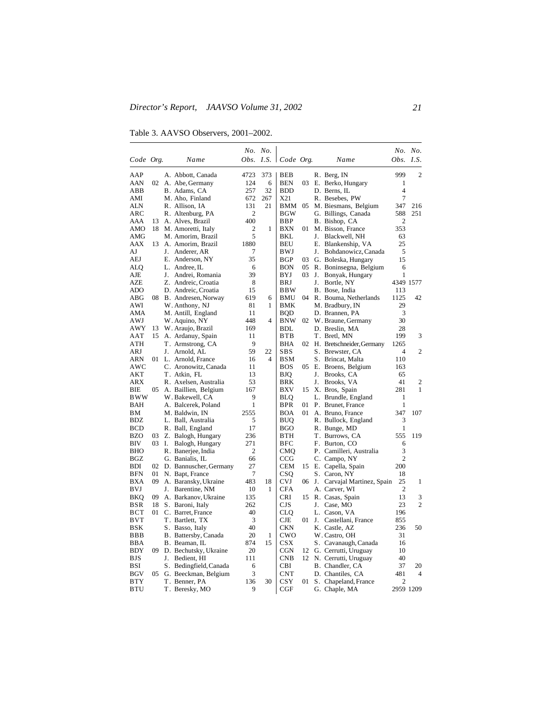Table 3. AAVSO Observers, 2001–2002.

|                   |       |    |                                        |              | No. No. |                       |    |    |                                      | No.            | No.              |
|-------------------|-------|----|----------------------------------------|--------------|---------|-----------------------|----|----|--------------------------------------|----------------|------------------|
| Code Org.         |       |    | Name                                   |              |         | Obs. I.S.   Code Org. |    |    | Name                                 |                | <i>Obs. I.S.</i> |
| AAP               |       |    | A. Abbott, Canada                      | 4723         | 373     | BEB                   |    |    | R. Berg, IN                          | 999            | 2                |
| AAN               |       |    | 02 A. Abe, Germany                     | 124          | 6       | <b>BEN</b>            | 03 |    | E. Berko, Hungary                    | 1              |                  |
| ABB               |       |    | B. Adams, CA                           | 257          | 32      | <b>BDD</b>            |    |    | D. Berns, IL                         | 4              |                  |
| AMI               |       |    | M. Aho, Finland                        | 672          | 267     | X21                   |    |    | R. Besebes, PW                       | 7              |                  |
| ALN               |       |    | R. Allison, IA                         | 131          | 21      | BMM                   | 05 |    | M. Biesmans, Belgium                 | 347            | 216              |
| ARC               |       |    | R. Altenburg, PA                       | 2            |         | BGW                   |    |    | G. Billings, Canada                  | 588            | 251              |
| AAA               | 13    |    | A. Alves, Brazil                       | 400          |         | BBP                   |    |    | B. Bishop, CA                        | 2              |                  |
| AMO               |       |    | 18 M. Amoretti, Italy                  | $\mathbf{2}$ | 1       | <b>BXN</b>            | 01 |    | M. Bisson, France                    | 353            |                  |
| AMG               |       |    | M. Amorim, Brazil                      | 5            |         | BKL                   |    |    | J. Blackwell, NH                     | 63             |                  |
| AAX               | 13    |    | A. Amorim, Brazil                      | 1880         |         | BEU                   |    |    | E. Blankenship, VA                   | 25             |                  |
| AJ                |       |    | J. Anderer, AR                         | 7            |         | BWJ                   |    | J. | Bohdanowicz, Canada                  | 5              |                  |
| AEJ               |       |    | E. Anderson, NY                        | 35           |         | BGP                   | 03 |    | G. Boleska, Hungary                  | 15             |                  |
| ALQ               |       |    | L. Andree, IL                          | 6            |         | BON                   | 05 |    | R. Boninsegna, Belgium               | 6              |                  |
| AJE               |       |    | J. Andrei, Romania                     | 39           |         | BYJ                   | 03 | J. | Bonyak, Hungary                      | 1              |                  |
| AZE               |       |    | Z. Andreic, Croatia                    | 8            |         | BRJ                   |    | J. | Bortle, NY                           |                | 4349 1577        |
| ADO               |       |    | D. Andreic, Croatia                    | 15           |         | <b>BBW</b>            |    |    | B. Bose, India                       | 113            |                  |
| ABG               | 08    |    | B. Andresen, Norway                    | 619          | 6       | BMU                   |    |    | 04 R. Bouma, Netherlands             | 1125           | 42               |
| AWI               |       |    | W. Anthony, NJ                         | 81           | 1       | BMK                   |    |    | M. Bradbury, IN                      | 29             |                  |
| AMA               |       |    | M. Antill, England                     | 11           |         | BQD                   |    |    | D. Brannen, PA                       | 3              |                  |
| AWJ               |       |    | W. Aquino, NY                          | 448          | 4       | <b>BNW</b>            |    |    | 02 W. Braune, Germany                | 30             |                  |
| AWY               | 13    |    | W. Araujo, Brazil                      | 169          |         | <b>BDL</b>            |    |    | D. Breslin, MA                       | 28             |                  |
| AAT               | 15    |    | A. Ardanuy, Spain                      | 11           |         | BTB                   |    |    | T. Bretl, MN                         | 199            | 3                |
| ATH               |       |    | T. Armstrong, CA                       | 9            |         | BHA                   |    |    | 02 H. Bretschneider, Germany         | 1265           |                  |
| ARJ               |       |    | J. Arnold, AL                          | 59           | 22      | SBS                   |    |    | S. Brewster, CA                      | 4              | 2                |
| ARN               |       |    | 01 L. Arnold, France                   | 16           | 4       | <b>BSM</b>            |    |    | S. Brincat, Malta                    | 110            |                  |
| AWC               |       |    | C. Aronowitz, Canada                   | 11           |         | <b>BOS</b>            | 05 |    |                                      | 163            |                  |
| AKT               |       |    | T. Atkin, FL                           | 13           |         | BJQ                   |    | J. | E. Broens, Belgium<br>Brooks, CA     | 65             |                  |
| ARX               |       |    | R. Axelsen, Australia                  | 53           |         | BRK                   |    | J. | Brooks, VA                           | 41             | 2                |
| ВIЕ               | 05    |    | A. Baillien, Belgium                   | 167          |         | <b>BXV</b>            | 15 |    | X. Bros, Spain                       | 281            | 1                |
| BWW               |       |    | W. Bakewell, CA                        | 9            |         | BLQ                   |    |    | L. Brundle, England                  | 1              |                  |
| BAH               |       |    | A. Balcerek, Poland                    | 1            |         | <b>BPR</b>            | 01 |    | P. Brunet, France                    | 1              |                  |
| BМ                |       |    | M. Baldwin, IN                         | 2555         |         | <b>BOA</b>            | 01 |    | A. Bruno, France                     | 347            | 107              |
| BDZ               |       |    |                                        | 5            |         | BUQ                   |    |    |                                      | 3              |                  |
| BCD               |       |    | L. Ball, Australia<br>R. Ball, England | 17           |         | BGO                   |    |    | R. Bullock, England<br>R. Bunge, MD  | 1              |                  |
| BZO               | 03    |    |                                        | 236          |         | BTH                   |    |    | T. Burrows, CA                       | 555            | 119              |
| BIV               | 03 I. |    | Z. Balogh, Hungary                     | 271          |         | BFC                   |    |    | F. Burton, CO                        | 6              |                  |
| <b>BHO</b>        |       |    | Balogh, Hungary                        | 2            |         | CMQ                   |    |    |                                      | 3              |                  |
| BGZ               |       |    | R. Banerjee, India                     | 66           |         | CCG                   |    |    | P. Camilleri, Australia              | $\overline{2}$ |                  |
| BDI               | 02    |    | G. Banialis, IL                        | 27           |         | CEM                   |    |    | C. Campo, NY                         | 200            |                  |
| BFN               | 01    |    | D. Bannuscher, Germany                 | 7            |         | CSO                   |    |    | 15 E. Capella, Spain<br>S. Caron, NY | 18             |                  |
|                   |       |    | N. Bapt, France                        | 483          |         | <b>CVJ</b>            |    |    |                                      | 25             | 1                |
| <b>BXA</b><br>BVJ |       |    | 09 A. Baransky, Ukraine                | 10           | 18<br>1 | <b>CFA</b>            |    |    | 06 J. Carvajal Martinez, Spain       | $\overline{c}$ |                  |
|                   |       |    | J. Barentine, NM                       |              |         |                       |    |    | A. Carver, WI                        | 13             |                  |
| BKQ               | 09    |    | A. Barkanov, Ukraine                   | 135          |         | CRI                   | 15 |    | R. Casas, Spain                      |                | 3                |
| BSR               | 18    |    | S. Baroni, Italy                       | 262          |         | CJS                   |    | J. | Case, MO                             | 23             | 2                |
| вст               | 01    |    | C. Barret, France                      | 40           |         | CLO                   |    |    | L. Cason, VA                         | 196            |                  |
| BVT               |       |    | T. Bartlett, TX                        | 3            |         | CJE                   | 01 |    | J. Castellani, France                | 855            |                  |
| BSK               |       |    | S. Basso, Italy                        | 40           |         | <b>CKN</b>            |    |    | K. Castle, AZ                        | 236            | 50               |
| <b>BBB</b>        |       |    | B. Battersby, Canada                   | 20           | 1       | CWO                   |    |    | W. Castro, OH                        | 31             |                  |
| BBA               |       |    | B. Beaman, IL                          | 874          | 15      | <b>CSX</b>            |    |    | S. Cavanaugh, Canada                 | 16             |                  |
| BDY               |       |    | 09 D. Bechutsky, Ukraine               | 20           |         | <b>CGN</b>            | 12 |    | G. Cerrutti, Uruguay                 | 10             |                  |
| BJS               |       | J. | Bedient, HI                            | 111          |         | <b>CNB</b>            | 12 |    | N. Cerrutti, Uruguay                 | 40             |                  |
| BSI               |       |    | S. Bedingfield, Canada                 | 6            |         | CBI                   |    |    | B. Chandler, CA                      | 37             | 20               |
| BGV               | 05    |    | G. Beeckman, Belgium                   | 3            |         | <b>CNT</b>            |    |    | D. Chantiles, CA                     | 481            | 4                |
| <b>BTY</b>        |       |    | T. Benner, PA                          | 136          | 30      | CSY                   | 01 |    | S. Chapeland, France                 | 2              |                  |
| BTU               |       |    | T. Beresky, MO                         | 9            |         | CGF                   |    |    | G. Chaple, MA                        |                | 2959 1209        |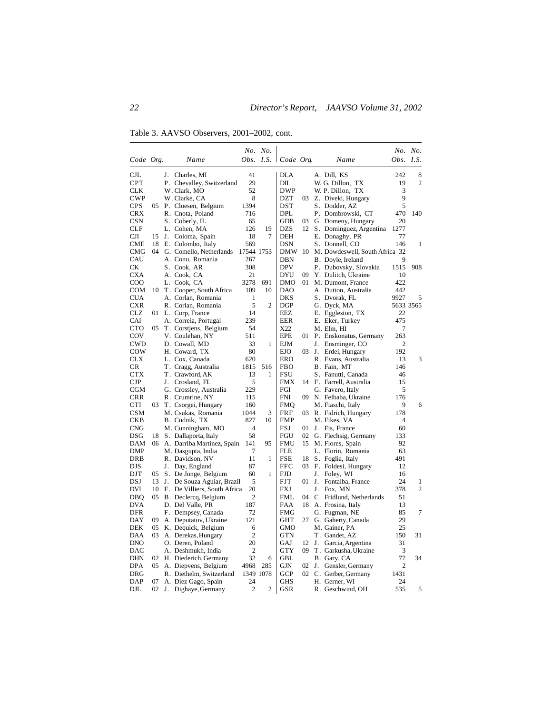Table 3. AAVSO Observers, 2001–2002, cont.

|              |    |    |                                 |                | No. No.        |                       |    |    |                                |                | No. No.        |
|--------------|----|----|---------------------------------|----------------|----------------|-----------------------|----|----|--------------------------------|----------------|----------------|
| Code Org.    |    |    | Name                            |                |                | Obs. I.S.   Code Org. |    |    | Name                           | Obs. I.S.      |                |
| $_{\rm CJL}$ |    | J. | Charles, MI                     | 41             |                | <b>DLA</b>            |    |    | A. Dill, KS                    | 242            | 8              |
| <b>CPT</b>   |    |    | P. Chevalley, Switzerland       | 29             |                | DIL                   |    |    | W. G. Dillon, TX               | 19             | $\overline{2}$ |
| <b>CLK</b>   |    |    | W. Clark, MO                    | 52             |                | <b>DWP</b>            |    |    | W. P. Dillon, TX               | 3              |                |
| <b>CWP</b>   |    |    | W. Clarke, CA                   | 8              |                | DZT                   | 03 |    | Z. Diveki, Hungary             | 9              |                |
| <b>CPS</b>   |    |    | 05 P. Cloesen, Belgium          | 1394           |                | <b>DST</b>            |    |    | S. Dodder, AZ                  | 5              |                |
| CRX          |    |    | R. Cnota, Poland                | 716            |                | <b>DPL</b>            |    |    | P. Dombrowski, CT              | 470            | 140            |
| <b>CSN</b>   |    |    | S. Coberly, IL                  | 65             |                | GDB                   | 03 |    | G. Domeny, Hungary             | 20             |                |
| <b>CLF</b>   |    |    | L. Cohen, MA                    | 126            | 19             | <b>DZS</b>            |    |    | 12 S. Dominguez, Argentina     | 1277           |                |
| CЛ           | 15 |    | J. Coloma, Spain                | 18             | 7              | DEH                   |    |    | E. Donaghy, PR                 | 77             |                |
| CME          | 18 |    | E. Colombo, Italy               | 569            |                | DSN                   |    |    | S. Donnell, CO                 | 146            | 1              |
| CMG          | 04 |    | G. Comello, Netherlands         | 17544 1753     |                | <b>DMW</b>            | 10 |    | M. Dowdeswell, South Africa 32 |                |                |
| CAU          |    |    | A. Conu, Romania                | 267            |                | DBN                   |    |    | B. Doyle, Ireland              | 9              |                |
| CК           |    |    | S. Cook, AR                     | 308            |                | <b>DPV</b>            |    |    | P. Dubovsky, Slovakia          | 1515           | 908            |
| <b>CXA</b>   |    |    | A. Cook, CA                     | 21             |                | DYU                   | 09 |    | Y. Dulitch, Ukraine            | 10             |                |
| COO          |    |    | L. Cook, CA                     | 3278           | 691            | <b>DMO</b>            | 01 |    | M. Dumont, France              | 422            |                |
| <b>COM</b>   |    |    | 10 T. Cooper, South Africa      | 109            | 10             | <b>DAO</b>            |    |    | A. Dutton, Australia           | 442            |                |
| <b>CUA</b>   |    |    | A. Corlan, Romania              | 1              |                | <b>DKS</b>            |    |    | S. Dvorak, FL                  | 9927           | 5              |
| <b>CXR</b>   |    |    | R. Corlan, Romania              | 5              | $\overline{2}$ | DGP                   |    |    | G. Dyck, MA                    |                | 5633 3565      |
| CLZ          |    |    | 01 L. Corp, France              | 14             |                | EEZ                   |    |    | E. Eggleston, TX               | 22             |                |
| CAI          |    |    | A. Correia, Portugal            | 239            |                | EER                   |    |    | E. Eker, Turkey                | 475            |                |
| <b>CTO</b>   | 05 |    | T. Corstjens, Belgium           | 54             |                | X22                   |    |    | M. Elm, HI                     | 7              |                |
| COV          |    |    | V. Coulehan, NY                 | 511            |                | <b>EPE</b>            |    |    | 01 P. Enskonatus, Germany      | 263            |                |
| <b>CWD</b>   |    |    | D. Cowall, MD                   | 33             | 1              | <b>EJM</b>            |    | J. | Ensminger, CO                  | 2              |                |
| COW          |    |    | H. Coward, TX                   | 80             |                | <b>EJO</b>            | 03 |    | J. Erdei, Hungary              | 192            |                |
| <b>CLX</b>   |    |    | L. Cox, Canada                  | 620            |                | <b>ERO</b>            |    |    | R. Evans, Australia            | 13             | 3              |
| CR           |    |    | T. Cragg, Australia             | 1815           | 516            | <b>FBO</b>            |    |    | B. Fain, MT                    | 146            |                |
| <b>CTX</b>   |    |    | T. Crawford, AK                 | 13             | 1              | <b>FSU</b>            |    |    | S. Fanutti, Canada             | 46             |                |
| CJP          |    |    | J. Crosland, FL                 | 5              |                | FMX                   |    |    | 14 F. Farrell, Australia       | 15             |                |
| CGM          |    |    | G. Crossley, Australia          | 229            |                | FGI                   |    |    | G. Favero, Italy               | 5              |                |
| CRR          |    |    | R. Crumrine, NY                 | 115            |                | <b>FNI</b>            |    |    | 09 N. Felbaba, Ukraine         | 176            |                |
| <b>CTI</b>   | 03 |    | T. Csorgei, Hungary             | 160            |                | FMQ                   |    |    | M. Fiaschi, Italy              | 9              | 6              |
| CSM          |    |    | M. Csukas, Romania              | 1044           | 3              | FRF                   | 03 |    | R. Fidrich, Hungary            | 178            |                |
| <b>CKB</b>   |    |    | B. Cudnik, TX                   | 827            | 10             | <b>FMP</b>            |    |    | M. Fikes, VA                   | $\overline{4}$ |                |
| <b>CNG</b>   |    |    | M. Cunningham, MO               | $\overline{4}$ |                | FSJ                   | 01 |    | J. Fis, France                 | 60             |                |
| DSG          | 18 |    | S. Dallaporta, Italy            | 58             |                | FGU                   | 02 |    | G. Flechsig, Germany           | 133            |                |
| <b>DAM</b>   | 06 |    | A. Darriba Martinez, Spain      | 141            | 95             | <b>FMU</b>            | 15 |    | M. Flores, Spain               | 92             |                |
| DMP          |    |    | M. Dasgupta, India              | 7              |                | FLE                   |    |    | L. Florin, Romania             | 63             |                |
| DRB          |    |    | R. Davidson, NV                 | 11             | 1              | <b>FSE</b>            | 18 |    | S. Foglia, Italy               | 491            |                |
| DJS          |    |    | J. Day, England                 | 87             |                | FFC                   | 03 |    | F. Foldesi, Hungary            | 12             |                |
| DJT          |    |    | 05 S. De Jonge, Belgium         | 60             | 1              | <b>FJD</b>            |    |    | J. Foley, WI                   | 16             |                |
| DSJ          | 13 | J. | De Souza Aguiar, Brazil         | 5              |                | <b>FJT</b>            | 01 | J. | Fontalba, France               | 24             | 1              |
| DVI          |    |    | 10 F. De Villiers, South Africa | 20             |                | FXJ                   |    | J. | Fox, MN                        | 378            | $\overline{2}$ |
| <b>DBQ</b>   | 05 |    | B. Declercq, Belgium            | 2              |                | FML                   | 04 |    | C. Fridlund, Netherlands       | 51             |                |
| <b>DVA</b>   |    |    | D. Del Valle, PR                | 187            |                | FAA                   | 18 |    | A. Frosina, Italy              | 13             |                |
| DFR          |    |    | F. Dempsey, Canada              | 72             |                | <b>FMG</b>            |    |    | G. Fugman, NE                  | 85             | 7              |
| DAY          | 09 |    | A. Deputatov, Ukraine           | 121            |                | GHT                   | 27 |    | G. Gaherty, Canada             | 29             |                |
| <b>DEK</b>   | 05 |    | K. Dequick, Belgium             | 6              |                | <b>GMO</b>            |    |    | M. Gainer, PA                  | 25             |                |
| DAA          | 03 |    | A. Derekas, Hungary             | $\mathfrak{2}$ |                | <b>GTN</b>            |    |    | T. Gandet, AZ                  | 150            | 31             |
| <b>DNO</b>   |    |    | O. Deren, Poland                | 20             |                | GAJ                   | 12 | J. | Garcia, Argentina              | 31             |                |
| DAC          |    |    | A. Deshmukh, India              | $\overline{2}$ |                | <b>GTY</b>            | 09 |    | T. Garkusha, Ukraine           | 3              |                |
| <b>DHN</b>   |    |    | 02 H. Diederich, Germany        | 32             | 6              | GBL                   |    |    | B. Gary, CA                    | 77             | 34             |
| <b>DPA</b>   |    |    | 05 A. Diepvens, Belgium         | 4968           | 285            | GJN                   | 02 | J. | Gensler, Germany               | $\overline{2}$ |                |
| DRG          |    |    | R. Diethelm, Switzerland        |                | 1349 1078      | <b>GCP</b>            | 02 |    | C. Gerber, Germany             | 1431           |                |
| DAP          | 07 |    | A. Diez Gago, Spain             | 24             |                | GHS                   |    |    | H. Gerner, WI                  | 24             |                |
| DJL          | 02 |    | J. Dighaye, Germany             | $\overline{2}$ | $\overline{c}$ | GSR                   |    |    | R. Geschwind, OH               | 535            | 5              |
|              |    |    |                                 |                |                |                       |    |    |                                |                |                |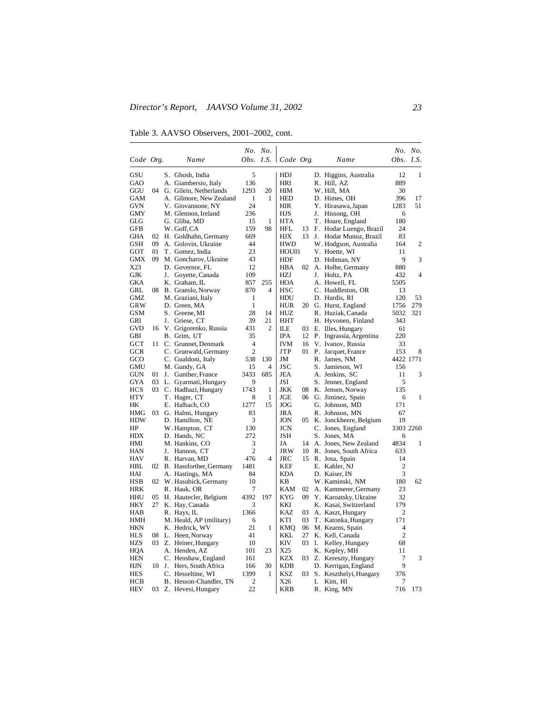Table 3. AAVSO Observers, 2001–2002, cont.

|            |    |    |                            |                | No. No.        |                       |    |    |                         |                | No. No. |
|------------|----|----|----------------------------|----------------|----------------|-----------------------|----|----|-------------------------|----------------|---------|
| Code Org.  |    |    | Name                       |                |                | Obs. I.S.   Code Org. |    |    | Name                    | Obs.           | I.S.    |
| GSU        |    |    | S. Ghosh, India            | 5              |                | <b>HDJ</b>            |    |    | D. Higgins, Australia   | 12             | 1       |
| GAO        |    |    | A. Giambersio, Italy       | 136            |                | HRI                   |    |    | R. Hill, AZ             | 889            |         |
| GGU        | 04 |    | G. Gilein, Netherlands     | 1293           | 20             | HIM                   |    |    | W. Hill, MA             | 30             |         |
| <b>GAM</b> |    |    | A. Gilmore, New Zealand    | 1              | 1              | <b>HED</b>            |    |    | D. Himes, OH            | 396            | 17      |
| <b>GVN</b> |    |    | V. Giovannone, NY          | 24             |                | HIR                   |    |    | Y. Hirasawa, Japan      | 1283           | 51      |
| GMY        |    |    | M. Glennon, Ireland        | 236            |                | HJS                   |    |    | J. Hissong, OH          | 6              |         |
| GLG        |    |    | G. Gliba, MD               | 15             | 1              | <b>HTA</b>            |    |    | T. Hoare, England       | 180            |         |
| <b>GFB</b> |    |    | W. Goff, CA                | 159            | 98             | HFL                   | 13 |    | F. Hodar Luengo, Brazil | 24             |         |
| GHA        | 02 |    | H. Goldhahn, Germany       | 669            |                | HЈX                   | 13 |    | J. Hodar Munoz, Brazil  | 83             |         |
| <b>GSH</b> | 09 |    | A. Golovin, Ukraine        | 44             |                | <b>HWD</b>            |    |    | W. Hodgson, Australia   | 164            | 2       |
| GOT        | 01 |    | T. Gomez, India            | 23             |                | HOU01                 |    |    | V. Hoette, WI           | 11             |         |
| <b>GMX</b> | 09 |    | M. Goncharov, Ukraine      | 43             |                | HDF                   |    |    | D. Hohman, NY           | 9              | 3       |
| X23        |    |    | D. Governor, FL            | 12             |                | HBA                   | 02 |    | A. Holbe, Germany       | 880            |         |
| GJK        |    | J. | Goyette, Canada            | 109            |                | HZJ                   |    |    | J. Holtz, PA            | 432            | 4       |
| <b>GKA</b> |    |    | K. Graham, IL              | 857            | 255            | <b>HOA</b>            |    |    | A. Howell, FL           | 5505           |         |
| GRL        |    |    | 08 B. Granslo, Norway      | 870            | 4              | HSC                   |    |    | C. Huddleston, OR       | 13             |         |
| <b>GMZ</b> |    |    | M. Graziani, Italy         | 1              |                | HDU                   |    |    | D. Hurdis, RI           | 120            | 53      |
| GRW        |    |    | D. Green, MA               | $\mathbf{1}$   |                | HUR                   | 20 |    | G. Hurst, England       | 1756           | 279     |
| <b>GSM</b> |    |    | S. Greene, MI              | 28             | 14             | HUZ                   |    |    | R. Huziak, Canada       | 5032           | 321     |
| GRI        |    | J. | Griese, CT                 | 39             | 21             | HHT                   |    |    | H. Hyvonen, Finland     | 343            |         |
| <b>GVD</b> | 16 |    | V. Grigorenko, Russia      | 431            | 2              | ILЕ                   | 03 |    | E. Illes, Hungary       | 61             |         |
| GBI        |    |    | B. Grim, UT                | 35             |                | IPA                   | 12 |    | P. Ingrassia, Argentina | 220            |         |
| <b>GCT</b> | 11 |    | C. Grunnet, Denmark        | 4              |                | IVM                   | 16 |    | V. Ivanov, Russia       | 33             |         |
| GCR        |    |    | C. Grunwald, Germany       | $\overline{c}$ |                | JTP                   | 01 |    | P. Jacquet, France      | 153            | 8       |
| GCO        |    |    | C. Gualdoni, Italy         | 538            | 130            | JM                    |    |    | R. James, NM            | 4422 1771      |         |
| <b>GMU</b> |    |    | M. Gundy, GA               | 15             | $\overline{4}$ | <b>JSC</b>            |    |    | S. Jamieson, WI         | 156            |         |
| GUN        | 01 |    | J. Gunther, France         | 3433           | 685            | JEA                   |    |    | A. Jenkins, SC          | 11             | 3       |
| GYA        | 03 |    | L. Gyarmati, Hungary       | 9              |                | JSI                   |    |    | S. Jenner, England      | 5              |         |
| <b>HCS</b> | 03 |    | C. Hadhazi, Hungary        | 1743           | 1              | JKK                   | 08 |    | K. Jensen, Norway       | 135            |         |
| <b>HTY</b> |    |    | T. Hager, CT               | 8              | $\mathbf{1}$   | JGE                   |    |    | 06 G. Jiminez, Spain    | 6              | 1       |
| HК         |    |    | E. Halbach, CO             | 1277           | 15             | JOG                   |    |    | G. Johnson, MD          | 171            |         |
| HMG        | 03 |    | G. Halmi, Hungary          | 83             |                | JRA                   |    |    | R. Johnson, MN          | 67             |         |
| <b>HDW</b> |    |    | D. Hamilton, NE            | 3              |                | JON                   | 05 |    | K. Jonckheere, Belgium  | 19             |         |
| HP         |    |    | W. Hampton, CT             | 130            |                | JCN                   |    |    | C. Jones, England       | 3303 2260      |         |
| HDX        |    |    | D. Hands, NC               | 272            |                | JSH                   |    |    | S. Jones, MA            | 6              |         |
| HMI        |    |    | M. Hankins, CO             | 3              |                | JA                    | 14 |    | A. Jones, New Zealand   | 4834           | 1       |
| HAN        |    |    | J. Hannon, CT              | $\overline{c}$ |                | <b>JRW</b>            | 10 |    | R. Jones, South Africa  | 633            |         |
| <b>HAV</b> |    |    | R. Harvan, MD              | 476            | 4              | JRC                   | 15 |    | R. Josa, Spain          | 14             |         |
| HBL        |    |    | 02 B. Hassforther, Germany | 1481           |                | KEF                   |    |    | E. Kahler, NJ           | 2              |         |
| HAI        |    |    | A. Hastings, MA            | 84             |                | <b>KDA</b>            |    |    | D. Kaiser, IN           | 3              |         |
| <b>HSB</b> |    |    | 02 W. Hasubick, Germany    | 10             |                | KB                    |    |    | W. Kaminski, NM         | 180            | 62      |
| HRK        |    |    | R. Hauk, OR                | 7              |                | <b>KAM</b>            | 02 |    | A. Kammerer, Germany    | 23             |         |
| HHU        | 05 |    | H. Hautecler, Belgium      | 4392           | 197            | KYG                   | 09 |    | Y. Karoatsky, Ukraine   | 32             |         |
| <b>HKY</b> |    |    | 27 K. Hay, Canada          | 3              |                | KKI                   |    |    | K. Kasai, Switzerland   | 179            |         |
| HAB        |    |    | R. Hays, IL                | 1366           |                | KAZ                   | 03 |    | A. Kaszt, Hungary       | 2              |         |
| HMH        |    |    | M. Heald, AP (military)    | 6              |                | KTI                   | 03 |    | T. Katonka, Hungary     | 171            |         |
| <b>HKN</b> |    |    | K. Hedrick, WV             | 21             | 1              | <b>KMQ</b>            | 06 |    | M. Kearns, Spain        | 4              |         |
| HLS        |    |    | 08 L. Heen, Norway         | 41             |                | KKL                   | 27 |    | K. Kell, Canada         | $\overline{2}$ |         |
| <b>HZS</b> |    |    | 03 Z. Heiner, Hungary      | 10             |                | KIV                   | 03 | Ι. | Kelley, Hungary         | 68             |         |
| HQA        |    |    | A. Henden, AZ              | 101            | 23             | X25                   |    |    | K. Kepley, MH           | 11             |         |
| <b>HEN</b> |    |    | C. Henshaw, England        | 161            |                | <b>KZX</b>            | 03 |    | Z. Kereszty, Hungary    | 7              | 3       |
| HJN        |    |    | 10 J. Hers, South Africa   | 166            | 30             | KDB                   |    |    | D. Kerrigan, England    | 9              |         |
| <b>HES</b> |    |    | C. Hesseltine, WI          | 1399           | 1              | KSZ                   | 03 |    | S. Keszthelyi, Hungary  | 376            |         |
| HCB        |    |    | B. Hesson-Chandler, TN     | $\mathfrak{2}$ |                | X26                   |    | I. | Kim, HI                 | 7              |         |
| <b>HEV</b> |    |    | 03 Z. Hevesi, Hungary      | 22             |                | <b>KRB</b>            |    |    | R. King, MN             | 716            | 173     |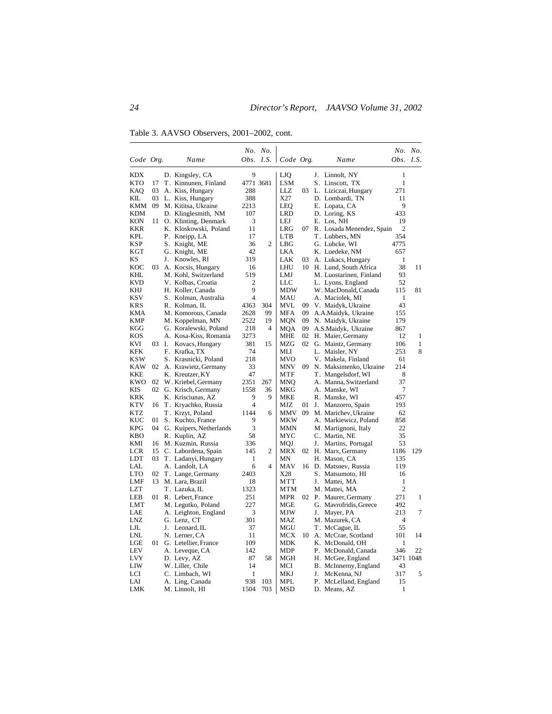Table 3. AAVSO Observers, 2001–2002, cont.

|            |       |    |                            |                | No. No.        |                       |    |    |                           |                  | No. No.      |
|------------|-------|----|----------------------------|----------------|----------------|-----------------------|----|----|---------------------------|------------------|--------------|
| Code Org.  |       |    | Name                       |                |                | Obs. I.S.   Code Org. |    |    | Name                      | <i>Obs. I.S.</i> |              |
| KDX        |       |    | D. Kingsley, CA            | 9              |                | LJQ                   |    |    | J. Linnolt, NY            | 1                |              |
| <b>KTO</b> | 17    |    | T. Kinnunen, Finland       | 4771 3681      |                | LSM                   |    |    | S. Linscott, TX           | 1                |              |
| KAO        | 03    |    | A. Kiss, Hungary           | 288            |                | LLZ                   | 03 |    | L. Liziczai, Hungary      | 271              |              |
| KIL        | 03    |    | L. Kiss, Hungary           | 388            |                | X27                   |    |    | D. Lombardi, TN           | 11               |              |
| KMM        | 09    |    | M. Kititsa, Ukraine        | 2213           |                | LEQ                   |    |    | E. Lopata, CA             | 9                |              |
| <b>KDM</b> |       |    | D. Klinglesmith, NM        | 107            |                | LRD                   |    |    | D. Loring, KS             | 433              |              |
| KON        | 11    |    | O. Klinting, Denmark       | 3              |                | LEJ                   |    |    | E. Los, NH                | 19               |              |
| KKR        |       |    | K. Kloskowski, Poland      | 11             |                | LRG                   | 07 |    | R. Losada Menendez, Spain | $\overline{2}$   |              |
| KPL        |       |    | P. Kneipp, LA              | 17             |                | <b>LTB</b>            |    |    | T. Lubbers, MN            | 354              |              |
| KSP        |       |    | S. Knight, ME              | 36             | 2              | LBG                   |    |    | G. Lubcke, WI             | 4775             |              |
| KGT        |       |    | G. Knight, ME              | 42             |                | LKA                   |    |    | K. Luedeke, NM            | 657              |              |
| KS         |       | J. | Knowles, RI                | 319            |                | LAK                   | 03 |    | A. Lukacs, Hungary        | 1                |              |
| KOC        | 03    |    | A. Kocsis, Hungary         | 16             |                | LHU                   |    |    | 10 H. Lund, South Africa  | 38               | 11           |
| KHL        |       |    | M. Kohl, Switzerland       | 519            |                | LMJ                   |    |    | M. Luostarinen, Finland   | 93               |              |
| KVD        |       |    | V. Kolbas, Croatia         | $\mathfrak{2}$ |                | LLC                   |    |    | L. Lyons, England         | 52               |              |
| KHJ        |       |    | H. Koller, Canada          | 9              |                | MDW                   |    |    | W. MacDonald, Canada      | 115              | 81           |
| KSV        |       |    | S. Kolman, Australia       | 4              |                | MAU                   |    |    | A. Maciolek, MI           | $\mathbf{1}$     |              |
| <b>KRS</b> |       |    | R. Kolman, IL              | 4363           | 304            | MVL                   | 09 |    | V. Maidyk, Ukraine        | 43               |              |
| KMA        |       |    | M. Komorous, Canada        | 2628           | 99             | <b>MFA</b>            | 09 |    | A.A.Maidyk, Ukraine       | 155              |              |
| KMP        |       |    | M. Koppelman, MN           | 2522           | 19             | MON                   | 09 |    | N. Maidyk, Ukraine        | 179              |              |
| KGG        |       |    | G. Koralewski, Poland      | 218            | $\overline{4}$ | <b>MQA</b>            | 09 |    | A.S.Maidyk, Ukraine       | 867              |              |
| <b>KOS</b> |       |    | A. Kosa-Kiss, Romania      | 3273           |                | <b>MHE</b>            |    |    | 02 H. Maier, Germany      | 12               | 1            |
| KVI        | 03 I. |    | Kovacs, Hungary            | 381            | 15             | <b>MZG</b>            |    |    | 02 G. Maintz, Germany     | 106              | $\mathbf{1}$ |
| KFK        |       |    | F. Krafka, TX              | 74             |                | MLI                   |    |    | L. Maisler, NY            | 253              | 8            |
| KSW        |       |    | S. Krasnicki, Poland       | 218            |                | <b>MVO</b>            |    |    | V. Makela, Finland        | 61               |              |
| KAW        | 02    |    | A. Krawietz, Germany       | 33             |                | <b>MNV</b>            | 09 |    | N. Maksimenko, Ukraine    | 214              |              |
| <b>KKE</b> |       |    | K. Kreutzer, KY            | 47             |                | <b>MTF</b>            |    |    | T. Mangelsdorf, WI        | 8                |              |
| KWO        | 02    |    | W. Kriebel, Germany        | 2351           | 267            | MNO                   |    |    | A. Manna, Switzerland     | 37               |              |
| KIS        | 02    |    | G. Krisch, Germany         | 1558           | 36             | <b>MKG</b>            |    |    | A. Manske, WI             | 7                |              |
| <b>KRK</b> |       |    | K. Krisciunas, AZ          | 9              | 9              | MKE                   |    |    | R. Manske, WI             | 457              |              |
| <b>KTV</b> | 16    |    | T. Kryachko, Russia        | 4              |                | MJZ                   | 01 |    | J. Manzorro, Spain        | 193              |              |
| KTZ        |       |    | T. Krzyt, Poland           | 1144           | 6              | <b>MMV</b>            | 09 |    | M. Marichev, Ukraine      | 62               |              |
| KUC        | 01    |    | S. Kuchto, France          | 9              |                | <b>MKW</b>            |    |    | A. Markiewicz, Poland     | 858              |              |
| <b>KPG</b> |       |    | 04 G. Kuipers, Netherlands | 3              |                | MMN                   |    |    | M. Martignoni, Italy      | 22               |              |
| <b>KBO</b> |       |    | R. Kuplin, AZ              | 58             |                | MYC                   |    |    | C. Martin, NE             | 35               |              |
| KMI        | 16    |    | M. Kuzmin, Russia          | 336            |                | MQJ                   |    | J. | Martins, Portugal         | 53               |              |
| LCR        | 15    |    | C. Labordena, Spain        | 145            | 2              | <b>MRX</b>            | 02 |    | H. Marx, Germany          | 1186             | 129          |
| LDT        | 03    |    | T. Ladanyi, Hungary        | 1              |                | <b>MN</b>             |    |    | H. Mason, CA              | 135              |              |
| LAL        |       |    | A. Landolt, LA             | 6              | 4              | MAV                   | 16 |    | D. Matsney, Russia        | 119              |              |
| <b>LTO</b> | 02    |    | T. Lange, Germany          | 2403           |                | X28                   |    |    | S. Matsumoto, HI          | 16               |              |
| LMF        |       |    | 13 M. Lara, Brazil         | 18             |                | <b>MTT</b>            |    | J. | Mattei, MA                | 1                |              |
| LZT        |       |    | T. Lazuka, IL              | 1323           |                | MTM                   |    |    | M. Mattei, MA             | $\overline{2}$   |              |
| LEB        | 01    |    | R. Lebert, France          | 251            |                | MPR                   | 02 |    | P. Maurer, Germany        | 271              | 1            |
| LMT        |       |    | M. Legutko, Poland         | 227            |                | MGE                   |    |    | G. Mavrofridis, Greece    | 492              |              |
| LAE        |       |    | A. Leighton, England       | 3              |                | MJW                   |    | J. | Mayer, PA                 | 213              | 7            |
| <b>LNZ</b> |       |    | G. Lenz, CT                | 301            |                | MAZ                   |    |    | M. Mazurek, CA            | $\overline{4}$   |              |
| LJL        |       |    | J. Leonard, IL             | 37             |                | MGU                   |    |    | T. McCague, IL            | 55               |              |
| LNL        |       |    | N. Lerner, CA              | 11             |                | MCX                   | 10 |    | A. McCrae, Scotland       | 101              | 14           |
| LGE        | 01 -  |    | G. Letellier, France       | 109            |                | MDK                   |    |    | K. McDonald, OH           | 1                |              |
| LEV        |       |    | A. Leveque, CA             | 142            |                | MDP                   |    |    | P. McDonald, Canada       | 346              | 22           |
| <b>LVY</b> |       |    | D. Levy, AZ                | 87             | 58             | MGH                   |    |    | H. McGee, England         | 3471 1048        |              |
| LIW        |       |    | W. Liller, Chile           | 14             |                | MCI                   |    |    | B. McInnerny, England     | 43               |              |
| LCI        |       |    | C. Limbach, WI             | 1              |                | MKJ                   |    | J. | McKenna, NJ               | 317              | 5            |
| LAI        |       |    | A. Ling, Canada            | 938            | 103            | <b>MPL</b>            |    |    | P. McLelland, England     | 15               |              |
| LMK        |       |    | M. Linnolt, HI             | 1504           | 703            | MSD                   |    |    | D. Means, AZ              | 1                |              |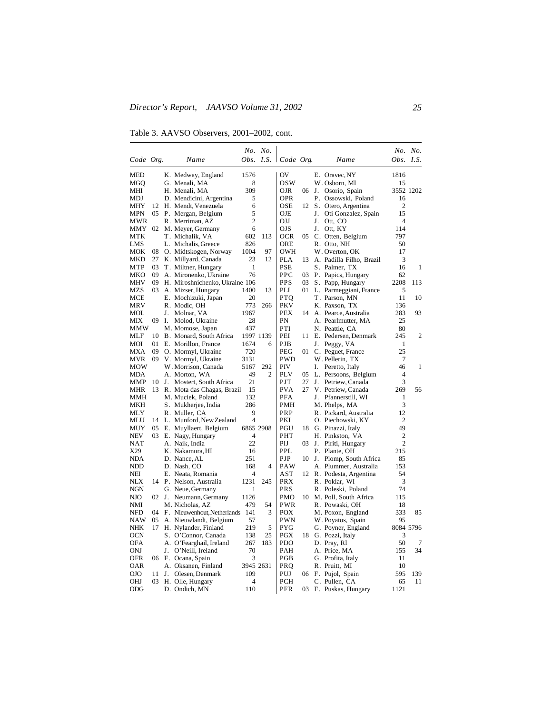Table 3. AAVSO Observers, 2001–2002, cont.

|                   |    |    |                                |                | No. No.        |                             |    |    |                                                    |                                  | No. No.        |
|-------------------|----|----|--------------------------------|----------------|----------------|-----------------------------|----|----|----------------------------------------------------|----------------------------------|----------------|
| Code Org.         |    |    | Name                           |                |                | Obs. I.S. $\vert$ Code Org. |    |    | Name                                               | <i>Obs. I.S.</i>                 |                |
| MED               |    |    | K. Medway, England             | 1576           |                | OV                          |    |    | E. Oravec, NY                                      | 1816                             |                |
| MGQ               |    |    | G. Menali, MA                  | 8              |                | osw                         |    |    | W. Osborn, MI                                      | 15                               |                |
| MHI               |    |    | H. Menali, MA                  | 309            |                | OJR                         | 06 |    | J. Osorio, Spain                                   | 3552 1202                        |                |
| MDJ               |    |    | D. Mendicini, Argentina        | 5              |                | <b>OPR</b>                  |    |    | P. Ossowski, Poland                                | 16                               |                |
| MHY               | 12 |    | H. Mendt, Venezuela            | 6              |                | <b>OSE</b>                  | 12 |    | S. Otero, Argentina                                | 2                                |                |
| MPN               | 05 |    | P. Mergan, Belgium             | 5              |                | OJE                         |    |    | J. Oti Gonzalez, Spain                             | 15                               |                |
| MWR               |    |    | R. Merriman, AZ                | $\overline{c}$ |                | OJJ                         |    | J. | Ott, CO                                            | $\overline{4}$                   |                |
| MMY               |    |    | 02 M. Meyer, Germany           | 6              |                | OJS                         |    | J. | Ott, KY                                            | 114                              |                |
| MTK               |    |    | T. Michalik, VA                | 602            | 113            | OCR                         | 05 |    | C. Otten, Belgium                                  | 797                              |                |
| LMS               |    |    | L. Michalis, Greece            | 826            |                | <b>ORE</b>                  |    |    | R. Otto, NH                                        | 50                               |                |
| мок               | 08 |    | O. Midtskogen, Norway          | 1004           | 97             | OWH                         |    |    | W. Overton, OK                                     | 17                               |                |
| MKD               | 27 |    | K. Millyard, Canada            | 23             | 12             | PLA                         | 13 |    | A. Padilla Filho, Brazil                           | 3                                |                |
| MTP               | 03 |    | T. Miltner, Hungary            | 1              |                | PSE                         |    |    | S. Palmer, TX                                      | 16                               | 1              |
| MKO               | 09 |    | A. Mironenko, Ukraine          | 76             |                | PPC                         | 03 |    | P. Papics, Hungary                                 | 62                               |                |
| MHV               | 09 |    | H. Miroshnichenko, Ukraine 106 |                |                | <b>PPS</b>                  | 03 |    | S. Papp, Hungary                                   | 2208                             | 113            |
| MZS               | 03 |    | A. Mizser, Hungary             | 1400           | 13             | PLI                         | 01 |    | L. Parmeggiani, France                             | 5                                |                |
| MCE               |    |    | E. Mochizuki, Japan            | 20             |                | <b>PTQ</b>                  |    |    | T. Parson, MN                                      | 11                               | 10             |
| MRV               |    |    | R. Modic, OH                   | 773            | 266            | <b>PKV</b>                  |    |    | K. Paxson, TX                                      | 136                              |                |
| MOL               |    | J. | Molnar, VA                     | 1967           |                | <b>PEX</b>                  |    |    | 14 A. Pearce, Australia                            | 283                              | 93             |
| МIХ               | 09 | Ι. | Molod, Ukraine                 | 28             |                | PN                          |    |    | A. Pearlmutter, MA                                 | 25                               |                |
| MMW               |    |    | M. Momose, Japan               | 437            |                | PTI                         |    |    | N. Peattie, CA                                     | 80                               |                |
| MLF               | 10 |    | B. Monard, South Africa        |                | 1997 1139      | PEI                         | 11 |    | E. Pedersen, Denmark                               | 245                              | $\overline{c}$ |
| MOI               | 01 |    | E. Morillon, France            | 1674           | 6              | PJB                         |    | J. | Peggy, VA                                          | 1                                |                |
| MXA               | 09 |    | O. Mormyl, Ukraine             | 720            |                | PEG                         | 01 |    | C. Peguet, France                                  | 25                               |                |
| MVR               | 09 |    | V. Mormyl, Ukraine             | 3131           |                | <b>PWD</b>                  |    |    | W. Pellerin, TX                                    | 7                                |                |
| MOW               |    |    | W. Morrison, Canada            | 5167           | 292            | PIV                         |    | I. | Peretto, Italy                                     | 46                               | 1              |
| <b>MDA</b>        |    |    | A. Morton, WA                  | 49             | $\overline{c}$ | PLV                         | 05 |    | L. Persoons, Belgium                               | 4                                |                |
| MMP               | 10 |    | J. Mostert, South Africa       | 21             |                | PJT                         | 27 | J. | Petriew, Canada                                    | 3                                |                |
| MHR               | 13 |    | R. Mota das Chagas, Brazil     | 15             |                | <b>PVA</b>                  | 27 |    | V. Petriew, Canada                                 | 269                              | 56             |
| MMH               |    |    | M. Muciek, Poland              | 132            |                | PFA                         |    | J. | Pfannerstill, WI                                   | 1                                |                |
| MKH               |    |    | S. Mukherjee, India            | 286            |                | PMH                         |    |    | M. Phelps, MA                                      | 3                                |                |
| MLY               |    |    | R. Muller, CA                  | 9              |                | PRP                         |    |    | R. Pickard, Australia                              | 12                               |                |
| MLU               | 14 |    | L. Munford, New Zealand        | 4              |                | PKI                         |    |    | O. Piechowski, KY                                  | $\overline{2}$                   |                |
| MUY               | 05 |    | E. Muyllaert, Belgium          |                | 6865 2908      | PGU                         | 18 |    | G. Pinazzi, Italy                                  | 49                               |                |
| NEV               |    |    | 03 E. Nagy, Hungary            | 4<br>22        |                | PHT                         |    |    | H. Pinkston, VA                                    | $\overline{2}$<br>$\overline{c}$ |                |
| NAT               |    |    | A. Naik, India                 |                |                | PIJ                         | 03 | J. | Piriti, Hungary                                    |                                  |                |
| X29               |    |    | K. Nakamura, HI                | 16             |                | PPL<br>PJP                  |    |    | P. Plante, OH                                      | 215                              |                |
| <b>NDA</b><br>NDD |    |    | D. Nance, AL<br>D. Nash, CO    | 251<br>168     | 4              | PAW                         |    |    | 10 J. Plomp, South Africa<br>A. Plummer, Australia | 85<br>153                        |                |
| NEI               |    |    | E. Neata, Romania              | 4              |                | AST                         | 12 |    | R. Podesta, Argentina                              | 54                               |                |
| <b>NLX</b>        |    |    | 14 P. Nelson, Australia        | 1231           | 245            | <b>PRX</b>                  |    |    | R. Poklar, WI                                      | 3                                |                |
| <b>NGN</b>        |    |    | G. Neue, Germany               | 1              |                | PRS                         |    |    | R. Poleski, Poland                                 | 74                               |                |
| NJO               | 02 |    | J. Neumann, Germany            | 1126           |                | <b>PMO</b>                  | 10 |    | M. Poll, South Africa                              | 115                              |                |
| NMI               |    |    | M. Nicholas, AZ                | 479            | 54             | PWR                         |    |    | R. Powaski, OH                                     | 18                               |                |
| <b>NFD</b>        |    |    | 04 F. Nieuwenhout, Netherlands | 141            | 3              | POX                         |    |    | M. Poxon, England                                  | 333                              | 85             |
| NAW               | 05 |    | A. Nieuwlandt, Belgium         | 57             |                | PWN                         |    |    | W. Poyatos, Spain                                  | 95                               |                |
| <b>NHK</b>        |    |    | 17 H. Nylander, Finland        | 219            | 5              | PYG                         |    |    | G. Poyner, England                                 | 8084 5796                        |                |
| <b>OCN</b>        |    |    | S. O'Connor, Canada            | 138            | 25             | <b>PGX</b>                  |    |    | 18 G. Pozzi, Italy                                 | 3                                |                |
| OFA               |    |    | A. O'Fearghail, Ireland        | 267            | 183            | PDO                         |    |    | D. Pray, RI                                        | 50                               | 7              |
| ONJ               |    | J. | O'Neill, Ireland               | 70             |                | PAH                         |    |    | A. Price, MA                                       | 155                              | 34             |
| <b>OFR</b>        |    |    | 06 F. Ocana, Spain             | 3              |                | PGB                         |    |    | G. Profita, Italy                                  | 11                               |                |
| OAR               |    |    | A. Oksanen, Finland            |                | 3945 2631      | PRQ                         |    |    | R. Pruitt, MI                                      | 10                               |                |
| OJO               | 11 |    | J. Olesen, Denmark             | 109            |                | PUJ                         | 06 |    | F. Pujol, Spain                                    | 595                              | 139            |
| OHJ               | 03 |    | H. Olle, Hungary               | 4              |                | <b>PCH</b>                  |    |    | C. Pullen, CA                                      | 65                               | 11             |
| ODG               |    |    | D. Ondich, MN                  | 110            |                | PFR                         | 03 |    | F. Puskas, Hungary                                 | 1121                             |                |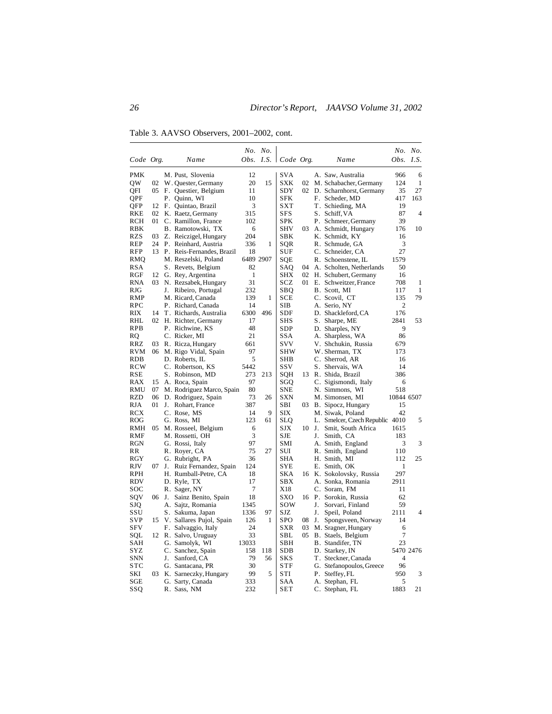Table 3. AAVSO Observers, 2001–2002, cont.

|            |                 |    |                              |              | No. No.   |                       |       |    |                                 |                  | No. No.   |
|------------|-----------------|----|------------------------------|--------------|-----------|-----------------------|-------|----|---------------------------------|------------------|-----------|
| Code Org.  |                 |    | Name                         |              |           | Obs. I.S.   Code Org. |       |    | Name                            | <i>Obs.</i> I.S. |           |
| <b>PMK</b> |                 |    | M. Pust, Slovenia            | 12           |           | SVA                   |       |    | A. Saw, Australia               | 966              | 6         |
| QW         | 02              |    | W. Quester, Germany          | 20           | 15        | SXK                   | 02    |    | M. Schabacher, Germany          | 124              | 1         |
| QFI        | 05              |    | F. Questier, Belgium         | 11           |           | SDY                   | 02    |    | D. Scharnhorst, Germany         | 35               | 27        |
| QPF        |                 |    | P. Quinn, WI                 | 10           |           | SFK                   |       |    | F. Scheder, MD                  | 417              | 163       |
| QFP        | 12              |    | F. Quintao, Brazil           | 3            |           | SXT                   |       |    | T. Schieding, MA                | 19               |           |
| RKE        | 02              |    | K. Raetz, Germany            | 315          |           | SFS                   |       |    | S. Schiff, VA                   | 87               | 4         |
| RCH        | 01              |    | C. Ramillon, France          | 102          |           | SPK                   |       |    | P. Schmeer, Germany             | 39               |           |
| RBK        |                 |    | B. Ramotowski, TX            | 6            |           | SHV                   | 03    |    | A. Schmidt, Hungary             | 176              | 10        |
| <b>RZS</b> | 03              |    | Z. Reiczigel, Hungary        | 204          |           | SBK                   |       |    | K. Schmidt, KY                  | 16               |           |
| REP        | 24              |    | P. Reinhard, Austria         | 336          | 1         | SQR                   |       |    | R. Schmude, GA                  | 3                |           |
| <b>RFP</b> |                 |    | 13 P. Reis-Fernandes, Brazil | 18           |           | SUF                   |       |    | C. Schneider, CA                | 27               |           |
| RMQ        |                 |    | M. Reszelski, Poland         |              | 6489 2907 | SQE                   |       |    | R. Schoenstene, IL              | 1579             |           |
| <b>RSA</b> |                 |    | S. Revets, Belgium           | 82           |           | SAQ                   | 04    |    | A. Scholten, Netherlands        | 50               |           |
| RGF        |                 |    | 12 G. Rey, Argentina         | $\mathbf{1}$ |           | <b>SHX</b>            | 02    |    | H. Schubert, Germany            | 16               |           |
| RNA        | 03              |    | N. Rezsabek, Hungary         | 31           |           | SCZ                   | 01    |    | E. Schweitzer, France           | 708              | 1         |
| RJG        |                 |    | J. Ribeiro, Portugal         | 232          |           | SBQ                   |       |    | B. Scott, MI                    | 117              | 1         |
| RMP        |                 |    | M. Ricard, Canada            | 139          | 1         | SCE                   |       |    | C. Scovil, CT                   | 135              | 79        |
| RPC        |                 |    | P. Richard, Canada           | 14           |           | SIB                   |       |    | A. Serio, NY                    | 2                |           |
| RIX        | 14              |    | T. Richards, Australia       | 6300         | 496       | SDF                   |       |    | D. Shackleford, CA              | 176              |           |
| RHL        | 02              |    | H. Richter, Germany          | 17           |           | SHS                   |       |    | S. Sharpe, ME                   | 2841             | 53        |
| RPB        |                 |    | P. Richwine, KS              | 48           |           | SDP                   |       |    | D. Sharples, NY                 | 9                |           |
| RQ         |                 |    | C. Ricker, MI                | 21           |           | SSA                   |       |    | A. Sharpless, WA                | 86               |           |
| RRZ        | 03              |    | R. Ricza, Hungary            | 661          |           | svv                   |       |    | V. Shchukin, Russia             | 679              |           |
| <b>RVM</b> | 06              |    | M. Rigo Vidal, Spain         | 97           |           | SHW                   |       |    | W. Sherman, TX                  | 173              |           |
| RDB        |                 |    | D. Roberts, IL               | 5            |           | SHB                   |       |    | C. Sherrod, AR                  | 16               |           |
| <b>RCW</b> |                 |    | C. Robertson, KS             | 5442         |           | ssv                   |       |    | S. Shervais, WA                 | 14               |           |
| <b>RSE</b> |                 |    | S. Robinson, MD              | 273          | 213       | SQH                   | 13    |    | R. Shida, Brazil                | 386              |           |
| RAX        | 15              |    | A. Roca, Spain               | 97           |           | SGQ                   |       |    | C. Sigismondi, Italy            | 6                |           |
| RMU        | 07              |    | M. Rodriguez Marco, Spain    | 80           |           | SNE                   |       |    | N. Simmons, WI                  | 518              |           |
| <b>RZD</b> | 06              |    | D. Rodriguez, Spain          | 73           | 26        | SXN                   |       |    | M. Simonsen, MI                 | 10844 6507       |           |
| <b>RJA</b> | 01              |    | J. Rohart, France            | 387          |           | SBI                   | 03    |    | B. Sipocz, Hungary              | 15               |           |
| RCX        |                 |    | C. Rose, MS                  | 14           | 9         | <b>SIX</b>            |       |    | M. Siwak, Poland                | 42               |           |
| <b>ROG</b> |                 |    | G. Ross, MI                  | 123          | 61        | SLQ                   |       |    | L. Smelcer, Czech Republic 4010 |                  | 5         |
| RMH        | 05 <sup>1</sup> |    | M. Rosseel, Belgium          | 6            |           | SJX                   | 10 J. |    | Smit, South Africa              | 1615             |           |
| RMF        |                 |    | M. Rossetti, OH              | 3            |           | SJE                   |       | J. | Smith, CA                       | 183              |           |
| <b>RGN</b> |                 |    | G. Rossi, Italy              | 97           |           | SMI                   |       |    | A. Smith, England               | 3                | 3         |
| RR         |                 |    | R. Royer, CA                 | 75           | 27        | SUI                   |       |    | R. Smith, England               | 110              |           |
| RGY        |                 |    | G. Rubright, PA              | 36           |           | SHA                   |       |    | H. Smith, MI                    | 112              | 25        |
| RJV        | 07              |    | J. Ruiz Fernandez, Spain     | 124          |           | SYE                   |       |    | E. Smith, OK                    | 1                |           |
| RPH        |                 |    | H. Rumball-Petre, CA         | 18           |           | SKA                   | 16    |    | K. Sokolovsky, Russia           | 297              |           |
| RDV        |                 |    | D. Ryle, TX                  | 17           |           | SBX                   |       |    | A. Sonka, Romania               | 2911             |           |
| SOC        |                 |    | R. Sager, NY                 | 7            |           | X18                   |       |    | C. Soram, FM                    | 11               |           |
| SQV        | 06              | J. | Sainz Benito, Spain          | 18           |           | SXO                   | 16    |    | P. Sorokin, Russia              | 62               |           |
| SJQ        |                 |    | A. Sajtz, Romania            | 1345         |           | sow                   |       | J. | Sorvari, Finland                | 59               |           |
| SSU        |                 |    | S. Sakuma, Japan             | 1336         | 97        | SJZ                   |       | J. | Speil, Poland                   | 2111             | 4         |
| SVP        |                 |    | 15 V. Sallares Pujol, Spain  | 126          | 1         | SPO                   | 08    | J. | Spongsveen, Norway              | 14               |           |
| <b>SFV</b> |                 |    | F. Salvaggio, Italy          | 24           |           | SXR                   | 03    |    | M. Sragner, Hungary             | 6                |           |
| SQL        |                 |    | 12 R. Salvo, Uruguay         | 33           |           | SBL                   | 05    |    | B. Staels, Belgium              | 7                |           |
| SAH        |                 |    | G. Samolyk, WI               | 13033        |           | SBH                   |       |    | B. Standifer, TN                | 23               |           |
| SYZ        |                 |    | C. Sanchez, Spain            | 158          | 118       | SDB                   |       |    | D. Starkey, IN                  |                  | 5470 2476 |
| <b>SNN</b> |                 |    | J. Sanford, CA               | 79           | 56        | <b>SKS</b>            |       |    | T. Steckner, Canada             | 4                |           |
| <b>STC</b> |                 |    | G. Santacana, PR             | 30           |           | STF                   |       |    | G. Stefanopoulos, Greece        | 96               |           |
| SKI        | 03              |    | K. Sarneczky, Hungary        | 99           | 5         | STI                   |       |    | P. Steffey, FL                  | 950              | 3         |
| SGE        |                 |    | G. Sarty, Canada             | 333          |           | SAA                   |       |    | A. Stephan, FL                  | 5                |           |
| SSQ        |                 |    | R. Sass, NM                  | 232          |           | SET                   |       |    | C. Stephan, FL                  | 1883             | 21        |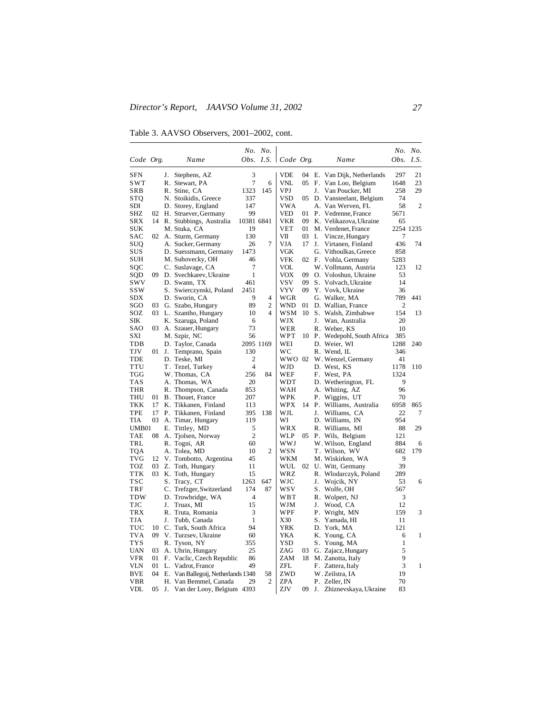Table 3. AAVSO Observers, 2001–2002, cont.

|            |     |    |                                    |                | No. No.              |            |    |    |                              |                | No. No.        |
|------------|-----|----|------------------------------------|----------------|----------------------|------------|----|----|------------------------------|----------------|----------------|
| Code Org.  |     |    | Name                               |                | Obs. I.S. $\vert$    | Code Org.  |    |    | Name                         | Obs.           | I.S.           |
| SFN        |     | J. | Stephens, AZ                       | 3              |                      | VDE        | 04 |    | E. Van Dijk, Netherlands     | 297            | 21             |
| SWT        |     |    | R. Stewart, PA                     | $\overline{7}$ | 6                    | VNL        | 05 |    | F. Van Loo, Belgium          | 1648           | 23             |
| SRB        |     |    | R. Stine, CA                       | 1323           | 145                  | <b>VPJ</b> |    | J. | Van Poucker, MI              | 258            | 29             |
| STQ        |     |    | N. Stoikidis, Greece               | 337            |                      | VSD        |    |    | 05 D. Vansteelant, Belgium   | 74             |                |
| SDI        |     |    | D. Storey, England                 | 147            |                      | <b>VWA</b> |    |    | A. Van Werven, FL            | 58             | $\overline{2}$ |
| SHZ        | 02  |    | H. Struever, Germany               | 99             |                      | VED        | 01 |    | P. Vedrenne, France          | 5671           |                |
| SRX        |     |    | 14 R. Stubbings, Australia         | 10381 6841     |                      | VKR        | 09 |    | K. Velikazova, Ukraine       | 65             |                |
| SUK        |     |    | M. Stuka, CA                       | 19             |                      | VET        | 01 |    | M. Verdenet, France          | 2254 1235      |                |
| <b>SAC</b> | 02  |    | A. Sturm, Germany                  | 130            |                      | VII        | 03 | Ι. | Vincze, Hungary              | 7              |                |
| SUQ        |     |    | A. Sucker, Germany                 | 26             | 7                    | VJA        | 17 | J. | Virtanen, Finland            | 436            | 74             |
| SUS        |     |    | D. Suessmann, Germany              | 1473           |                      | VGK        |    |    | G. Vithoulkas, Greece        | 858            |                |
| SUH        |     |    | M. Suhovecky, OH                   | 46             |                      | VFK        |    |    | 02 F. Vohla, Germany         | 5283           |                |
| SQC        |     |    | C. Suslavage, CA                   | 7              |                      | VOL        |    |    | W. Vollmann, Austria         | 123            | 12             |
| SQD        | 09  |    | D. Svechkarev, Ukraine             | $\mathbf{1}$   |                      | VOX        | 09 |    | O. Voloshun, Ukraine         | 53             |                |
| swv        |     |    | D. Swann, TX                       | 461            |                      | vsv        | 09 |    | S. Volvach, Ukraine          | 14             |                |
| ssw        |     |    | S. Swierczynski, Poland            | 2451           |                      | <b>VYV</b> | 09 |    | Y. Vovk, Ukraine             | 36             |                |
| SDX        |     |    | D. Sworin, CA                      | 9              | 4                    | WGR        |    |    | G. Walker, MA                | 789            | 441            |
| SGO        | 03  |    | G. Szabo, Hungary                  | 89             | $\overline{c}$       | <b>WND</b> | 01 |    | D. Wallian, France           | $\overline{2}$ |                |
| SOZ        |     |    | 03 L. Szantho, Hungary             | 10             | 4                    | WSM        | 10 |    | S. Walsh, Zimbabwe           | 154            | 13             |
| SIK        |     |    | K. Szaruga, Poland                 | 6              |                      | WJX        |    | J. | Wan, Australia               | 20             |                |
| SAO        | 03  |    | A. Szauer, Hungary                 | 73             |                      | WER        |    |    | R. Weber, KS                 | 10             |                |
| SXI        |     |    | M. Szpir, NC                       | 56             |                      | WPT        |    |    | 10 P. Wedepohl, South Africa | 385            |                |
| TDB        |     |    | D. Taylor, Canada                  |                | 2095 1169            | WEI        |    |    | D. Weier, WI                 | 1288           | 240            |
| TJV        | 01  | J. | Temprano, Spain                    | 130            |                      | wс         |    |    | R. Wend, IL                  | 346            |                |
| TDE        |     |    | D. Teske, MI                       | $\overline{c}$ |                      | WWO 02     |    |    | W. Wenzel, Germany           | 41             |                |
| <b>TTU</b> |     |    | T. Tezel, Turkey                   | $\overline{4}$ |                      | WJD        |    |    | D. West, KS                  | 1178           | 110            |
| TGG        |     |    | W. Thomas, CA                      | 256            | 84                   | WEF        |    |    | F. West, PA                  | 1324           |                |
| TAS        |     |    | A. Thomas, WA                      | 20             |                      | WDT        |    |    | D. Wetherington, FL          | 9              |                |
| THR        |     |    | R. Thompson, Canada                | 853            |                      | WAH        |    |    | A. Whiting, AZ               | 96             |                |
| <b>THU</b> | 01  |    | B. Thouet, France                  | 207            |                      | WPK        |    |    | P. Wiggins, UT               | 70             |                |
| TKK        | 17  |    | K. Tikkanen, Finland               | 113            |                      | WPX        | 14 |    | P. Williams, Australia       | 6958           | 865            |
| TPE        | 17  |    | P. Tikkanen, Finland               | 395            | 138                  | WJL        |    | J. | Williams, CA                 | 22             | 7              |
| TIA        | 03  |    | A. Timar, Hungary                  | 119            |                      | WI         |    |    | D. Williams, IN              | 954            |                |
| UMB01      |     |    | E. Tittley, MD                     | 5              |                      | WRX        |    |    | R. Williams, MI              | 88             | 29             |
| TAE        | 08  |    | A. Tjolsen, Norway                 | $\overline{2}$ |                      | WLP        | 05 |    | P. Wils, Belgium             | 121            |                |
| TRL        |     |    | R. Togni, AR                       | 60             |                      | WWJ        |    |    | W. Wilson, England           | 884            | 6              |
| <b>TQA</b> |     |    | A. Tolea, MD                       | 10             | $\overline{c}$       | WSN        |    |    | T. Wilson, WV                | 682            | 179            |
| <b>TVG</b> | 12  |    | V. Tombotto, Argentina             | 45             |                      | WKM        |    |    | M. Wiskirken, WA             | 9              |                |
| TOZ        | 03  |    | Z. Toth, Hungary                   | 11             |                      | WUL        | 02 |    | U. Witt, Germany             | 39             |                |
| <b>TTK</b> | 03  |    | K. Toth, Hungary                   | 15             |                      | WRZ        |    |    | R. Wlodarczyk, Poland        | 289            |                |
| <b>TSC</b> |     | S. | Tracy, CT                          | 1263           | 647                  | WJC        |    | J. | Wojcik, NY                   | 53             | 6              |
| TRF        |     |    | C. Trefzger, Switzerland           | 174            | 87                   | wsv        |    |    | S. Wolfe, OH                 | 567            |                |
| TDW        |     |    | D. Trowbridge, WA                  | 4              |                      | WBT        |    |    | R. Wolpert, NJ               | 3              |                |
| TJC        |     | J. | Truax, MI                          | 15             |                      | WJM        |    | J. | Wood, CA                     | 12             |                |
| TRX        |     |    | R. Truta, Romania                  | 3              |                      | WPF        |    |    | P. Wright, MN                | 159            | 3              |
| <b>TJA</b> |     | J. | Tubb, Canada                       | $\mathbf{1}$   |                      | X30        |    |    | S. Yamada, HI                | 11             |                |
| TUC        | 10  |    | C. Turk, South Africa              | 94             |                      | YRK        |    |    | D. York, MA                  | 121            |                |
| <b>TVA</b> | 09. |    | V. Turzsev, Ukraine                | 60             |                      | YKA        |    |    | K. Young, CA                 | 6              | 1              |
| <b>TYS</b> |     |    | R. Tyson, NY                       | 355            |                      | <b>YSD</b> |    |    | S. Young, MA                 | 1              |                |
| <b>UAN</b> | 03  |    | A. Uhrin, Hungary                  | 25             |                      | ZAG        | 03 |    | G. Zajacz, Hungary           | 5              |                |
| VFR        | 01  |    | F. Vaclic, Czech Republic          | 86             |                      | ZAM        | 18 |    | M. Zanotta, Italy            | 9              |                |
| <b>VLN</b> | 01  |    | L. Vadrot, France                  | 49             |                      | ZFL        |    |    | F. Zattera, Italy            | 3              | 1              |
| BVE        | 04  |    | E. Van Ballegoij, Netherlands 1348 |                | 58<br>$\overline{c}$ | ZWD        |    |    | W. Zeilstra, IA              | 19             |                |
| VBR        |     |    | H. Van Bemmel, Canada              | 29             |                      | ZPA        |    |    | P. Zeller, IN                | 70             |                |
| VDL        | 05  |    | J. Van der Looy, Belgium 4393      |                |                      | ZJV        | 09 | J. | Zhiznevskaya, Ukraine        | 83             |                |